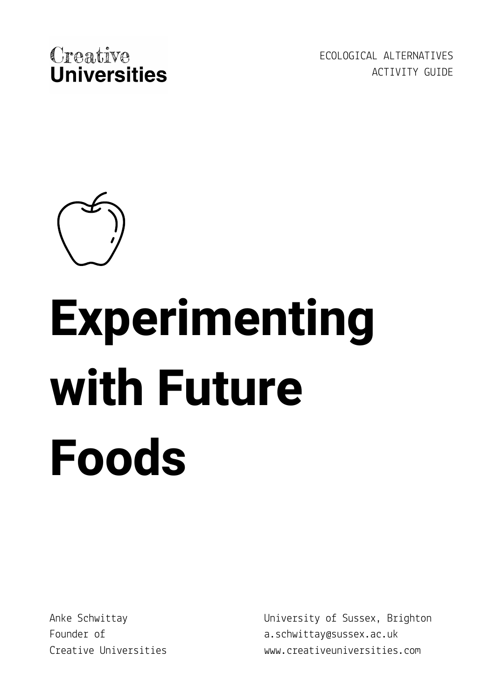

ECOLOGICAL ALTERNATIVES ACTIVITY GUIDE



# **Experimenting with Future Foods**

Anke Schwittay Founder of Creative Universities University of Sussex, Brighton a.schwittay@sussex.ac.uk www.creativeuniversities.com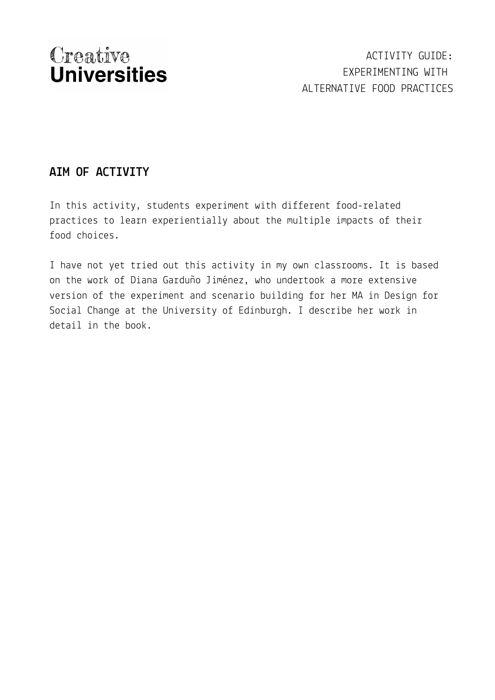ACTIVITY GUIDE: EXPERIMENTING WITH ALTERNATIVE FOOD PRACTICES

### **AIM OF ACTIVITY**

In this activity, students experiment with different food-related practices to learn experientially about the multiple impacts of their food choices.

I have not yet tried out this activity in my own classrooms. It is based on the work of Diana Garduño Jiménez, who undertook a more extensive version of the experiment and scenario building for her MA in Design for Social Change at the University of Edinburgh. I describe her work in detail in the book.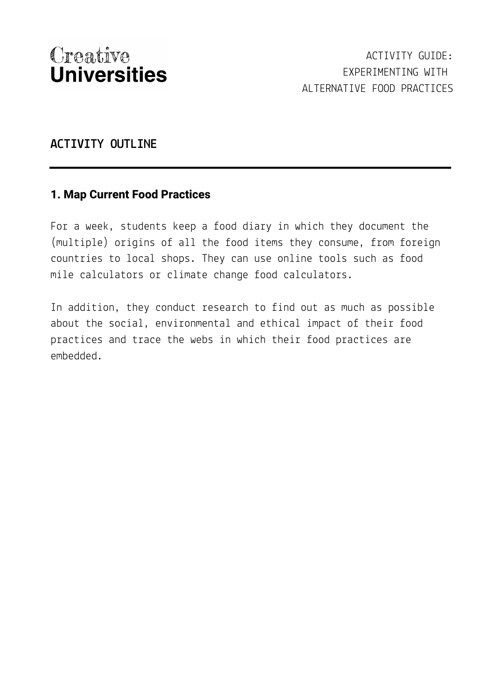#### **ACTIVITY OUTLINE**

#### **1. Map Current Food Practices**

For a week, students keep a food diary in which they document the (multiple) origins of all the food items they consume, from foreign countries to local shops. They can use online tools such as food mile calculators or climate change food [calculators.](https://www.foodmiles.com/food/calculator)

In addition, they conduct research to find out as much as possible about the social, environmental and ethical impact of their food practices and trace the webs in which their food practices are embedded.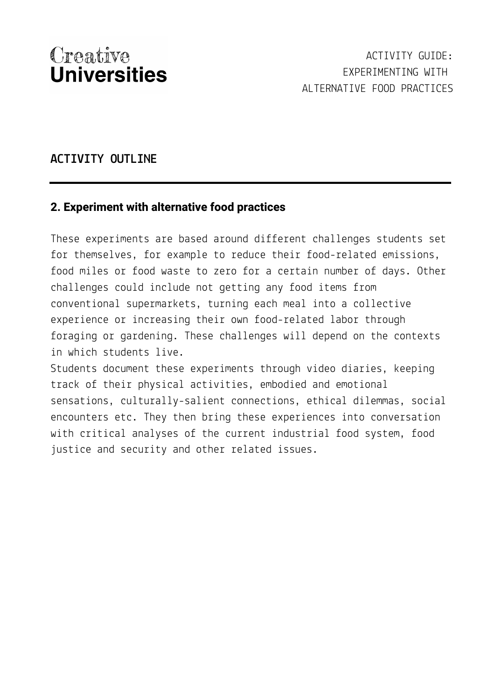#### **ACTIVITY OUTLINE**

#### **2. Experiment with alternative food practices**

These experiments are based around different challenges students set for themselves, for example to reduce their food-related emissions, food miles or food waste to zero for a certain number of days. Other challenges could include not getting any food items from conventional supermarkets, turning each meal into a collective experience or increasing their own food-related labor through foraging or gardening. These challenges will depend on the contexts in which students live.

Students document these experiments through video diaries, keeping track of their physical activities, embodied and emotional sensations, culturally-salient connections, ethical dilemmas, social encounters etc. They then bring these experiences into conversation with critical analyses of the current industrial food system, food justice and security and other related issues.